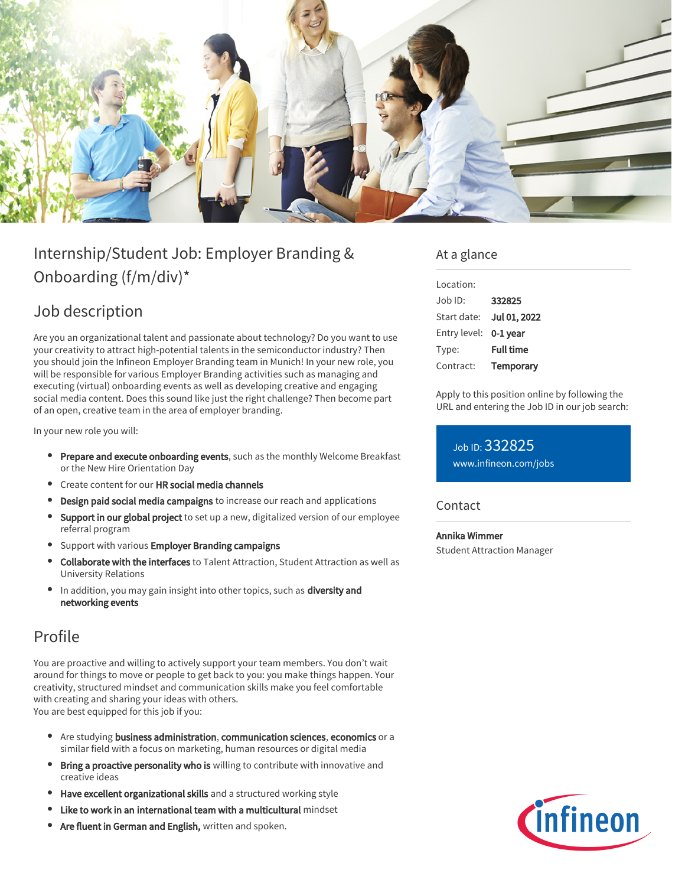

# Internship/Student Job: Employer Branding & Onboarding (f/m/div)\*

# Job description

Are you an organizational talent and passionate about technology? Do you want to use your creativity to attract high-potential talents in the semiconductor industry? Then you should join the Infineon Employer Branding team in Munich! In your new role, you will be responsible for various Employer Branding activities such as managing and executing (virtual) onboarding events as well as developing creative and engaging social media content. Does this sound like just the right challenge? Then become part of an open, creative team in the area of employer branding.

In your new role you will:

- Prepare and execute onboarding events, such as the monthly Welcome Breakfast or the New Hire Orientation Day
- Create content for our HR social media channels
- **Design paid social media campaigns** to increase our reach and applications
- Support in our global project to set up a new, digitalized version of our employee referral program
- Support with various Employer Branding campaigns
- Collaborate with the interfaces to Talent Attraction, Student Attraction as well as University Relations
- In addition, you may gain insight into other topics, such as diversity and networking events

## Profile

You are proactive and willing to actively support your team members. You don't wait around for things to move or people to get back to you: you make things happen. Your creativity, structured mindset and communication skills make you feel comfortable with creating and sharing your ideas with others. You are best equipped for this job if you:

- Are studying business administration, communication sciences, economics or a similar field with a focus on marketing, human resources or digital media
- Bring a proactive personality who is willing to contribute with innovative and creative ideas
- Have excellent organizational skills and a structured working style
- Like to work in an international team with a multicultural mindset
- Are fluent in German and English, written and spoken.

### At a glance

| Location:    |                  |
|--------------|------------------|
| Job ID:      | 332825           |
| Start date:  | Jul 01, 2022     |
| Entry level: | 0-1 year         |
| Type:        | <b>Full time</b> |
| Contract:    | Temporary        |

Apply to this position online by following the URL and entering the Job ID in our job search:

Job ID: 332825 [www.infineon.com/jobs](https://www.infineon.com/jobs)

**Contact** 

#### Annika Wimmer

Student Attraction Manager